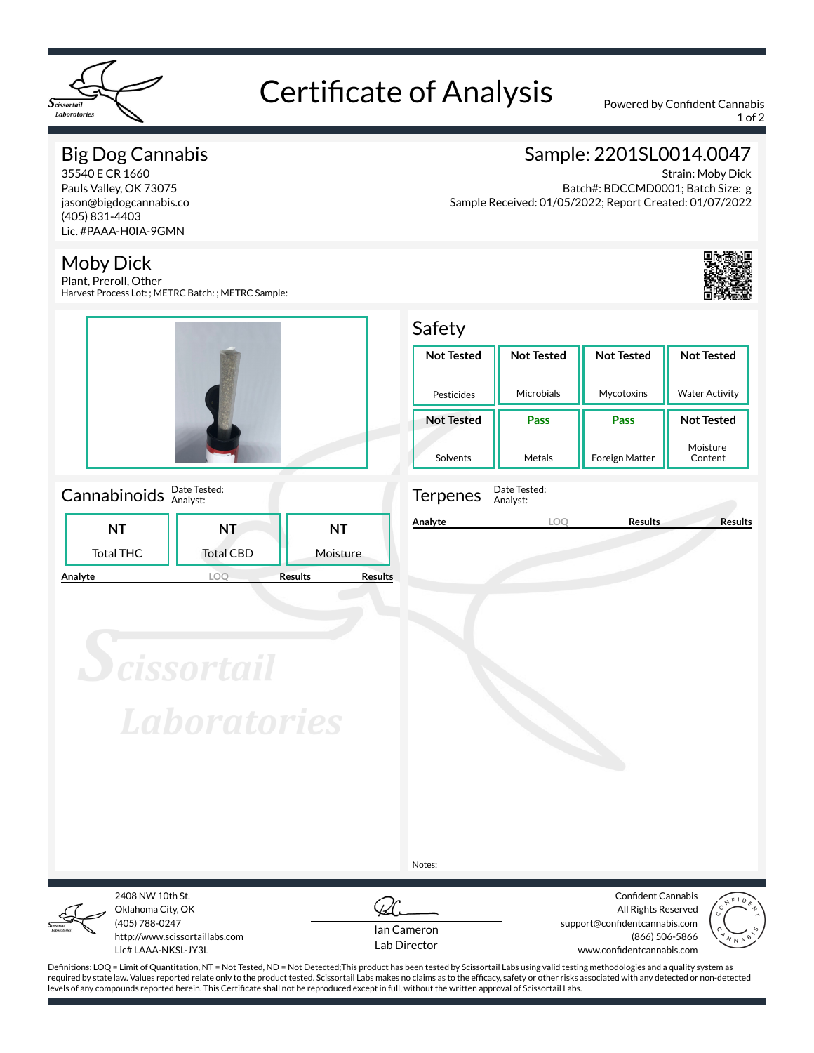

# Certificate of Analysis Powered by Confident Cannabis

1 of 2

## Big Dog Cannabis

35540 E CR 1660 Pauls Valley, OK 73075 jason@bigdogcannabis.co (405) 831-4403 Lic. #PAAA-H0IA-9GMN

### Moby Dick

Plant, Preroll, Other Harvest Process Lot: ; METRC Batch: ; METRC Sample:



### Cannabinoids **Date Tested:**

|         |                  | .                |                                  |
|---------|------------------|------------------|----------------------------------|
|         | NΤ               | NΤ               | NΤ                               |
|         | <b>Total THC</b> | <b>Total CBD</b> | Moisture                         |
| Analyte |                  |                  | <b>Results</b><br><b>Results</b> |

## Sample: 2201SL0014.0047

Strain: Moby Dick Batch#: BDCCMD0001; Batch Size: g Sample Received: 01/05/2022; Report Created: 01/07/2022



Moisture Content

#### Safety **Not Tested** Pesticides **Not Tested** Microbials **Not Tested** Mycotoxins **Not Tested** Water Activity **Not Tested Pass Pass Not Tested**



Solvents

Terpenes Date Tested: Analyst:

**Analyte LOQ Results Results**

Metals

Foreign Matter

**Scissortail Laboratories** 

Notes:



Oklahoma City, OK (405) 788-0247 http://www.scissortaillabs.com Lic# LAAA-NKSL-JY3L

2408 NW 10th St.



Confident Cannabis All Rights Reserved support@confidentcannabis.com (866) 506-5866 www.confidentcannabis.com



Definitions: LOQ = Limit of Quantitation, NT = Not Tested, ND = Not Detected;This product has been tested by Scissortail Labs using valid testing methodologies and a quality system as required by state law. Values reported relate only to the product tested. Scissortail Labs makes no claims as to the efficacy, safety or other risks associated with any detected or non-detected levels of any compounds reported herein. This Certificate shall not be reproduced except in full, without the written approval of Scissortail Labs.